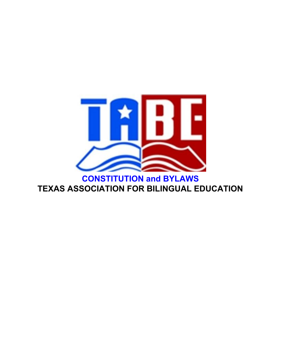

**CONSTITUTION and BYLAWS TEXAS ASSOCIATION FOR BILINGUAL EDUCATION**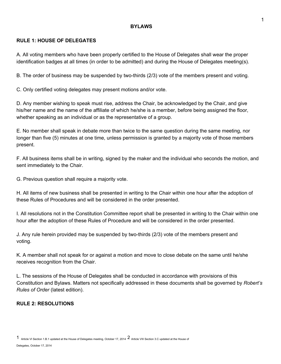# **BYLAWS**

# **RULE 1: HOUSE OF DELEGATES**

A. All voting members who have been properly certified to the House of Delegates shall wear the proper identification badges at all times (in order to be admitted) and during the House of Delegates meeting(s).

B. The order of business may be suspended by two-thirds (2/3) vote of the members present and voting.

C. Only certified voting delegates may present motions and/or vote.

D. Any member wishing to speak must rise, address the Chair, be acknowledged by the Chair, and give his/her name and the name of the affiliate of which he/she is a member, before being assigned the floor, whether speaking as an individual or as the representative of a group.

E. No member shall speak in debate more than twice to the same question during the same meeting, nor longer than five (5) minutes at one time, unless permission is granted by a majority vote of those members present.

F. All business items shall be in writing, signed by the maker and the individual who seconds the motion, and sent immediately to the Chair.

G. Previous question shall require a majority vote.

H. All items of new business shall be presented in writing to the Chair within one hour after the adoption of these Rules of Procedures and will be considered in the order presented.

I. All resolutions not in the Constitution Committee report shall be presented in writing to the Chair within one hour after the adoption of these Rules of Procedure and will be considered in the order presented.

J. Any rule herein provided may be suspended by two-thirds (2/3) vote of the members present and voting.

K. A member shall not speak for or against a motion and move to close debate on the same until he/she receives recognition from the Chair.

L. The sessions of the House of Delegates shall be conducted in accordance with provisions of this Constitution and Bylaws. Matters not specifically addressed in these documents shall be governed by *Robert's Rules of Order* (latest edition).

# **RULE 2: RESOLUTIONS**

Delegates, October 17, 2014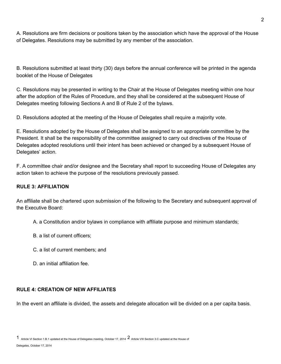A. Resolutions are firm decisions or positions taken by the association which have the approval of the House of Delegates. Resolutions may be submitted by any member of the association.

B. Resolutions submitted at least thirty (30) days before the annual conference will be printed in the agenda booklet of the House of Delegates

C. Resolutions may be presented in writing to the Chair at the House of Delegates meeting within one hour after the adoption of the Rules of Procedure, and they shall be considered at the subsequent House of Delegates meeting following Sections A and B of Rule 2 of the bylaws.

D. Resolutions adopted at the meeting of the House of Delegates shall require a majority vote.

E. Resolutions adopted by the House of Delegates shall be assigned to an appropriate committee by the President. It shall be the responsibility of the committee assigned to carry out directives of the House of Delegates adopted resolutions until their intent has been achieved or changed by a subsequent House of Delegates' action.

F. A committee chair and/or designee and the Secretary shall report to succeeding House of Delegates any action taken to achieve the purpose of the resolutions previously passed.

# **RULE 3: AFFILIATION**

An affiliate shall be chartered upon submission of the following to the Secretary and subsequent approval of the Executive Board:

A. a Constitution and/or bylaws in compliance with affiliate purpose and minimum standards;

- B. a list of current officers;
- C. a list of current members; and
- D. an initial affiliation fee.

# **RULE 4: CREATION OF NEW AFFILIATES**

In the event an affiliate is divided, the assets and delegate allocation will be divided on a per capita basis.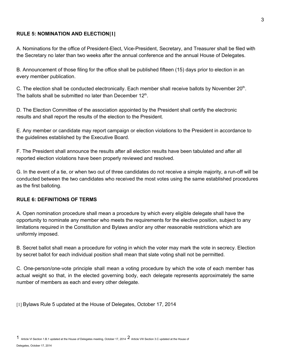# **RULE 5: NOMINATION AND ELECTION[1]**

A. Nominations for the office of President-Elect, Vice-President, Secretary, and Treasurer shall be filed with the Secretary no later than two weeks after the annual conference and the annual House of Delegates.

B. Announcement of those filing for the office shall be published fifteen (15) days prior to election in an every member publication.

C. The election shall be conducted electronically. Each member shall receive ballots by November 20<sup>th</sup>. The ballots shall be submitted no later than December 12<sup>th</sup>.

D. The Election Committee of the association appointed by the President shall certify the electronic results and shall report the results of the election to the President.

E. Any member or candidate may report campaign or election violations to the President in accordance to the guidelines established by the Executive Board.

F. The President shall announce the results after all election results have been tabulated and after all reported election violations have been properly reviewed and resolved.

G. In the event of a tie, or when two out of three candidates do not receive a simple majority, a run-off will be conducted between the two candidates who received the most votes using the same established procedures as the first balloting.

# **RULE 6: DEFINITIONS OF TERMS**

A. Open nomination procedure shall mean a procedure by which every eligible delegate shall have the opportunity to nominate any member who meets the requirements for the elective position, subject to any limitations required in the Constitution and Bylaws and/or any other reasonable restrictions which are uniformly imposed.

B. Secret ballot shall mean a procedure for voting in which the voter may mark the vote in secrecy. Election by secret ballot for each individual position shall mean that slate voting shall not be permitted.

C. One-person/one-vote principle shall mean a voting procedure by which the vote of each member has actual weight so that, in the elected governing body, each delegate represents approximately the same number of members as each and every other delegate.

[1] Bylaws Rule 5 updated at the House of Delegates, October 17, 2014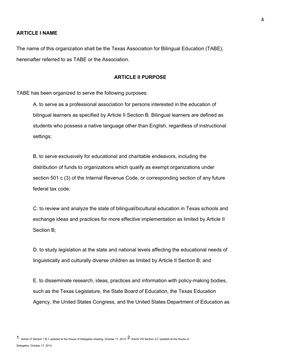# **ARTICLE I NAME**

The name of this organization shall be the Texas Association for Bilingual Education (TABE), hereinafter referred to as TABE or the Association.

### **ARTICLE II PURPOSE**

TABE has been organized to serve the following purposes:

A. to serve as a professional association for persons interested in the education of bilingual learners as specified by Article II Section B. Bilingual learners are defined as students who possess a native language other than English, regardless of instructional settings;

B. to serve exclusively for educational and charitable endeavors, including the distribution of funds to organizations which qualify as exempt organizations under section 501 c (3) of the Internal Revenue Code, or corresponding section of any future federal tax code;

C. to review and analyze the state of bilingual/bicultural education in Texas schools and exchange ideas and practices for more effective implementation as limited by Article II Section B;

D. to study legislation at the state and national levels affecting the educational needs of linguistically and culturally diverse children as limited by Article II Section B; and

E. to disseminate research, ideas, practices and information with policy-making bodies, such as the Texas Legislature, the State Board of Education, the Texas Education Agency, the United States Congress, and the United States Department of Education as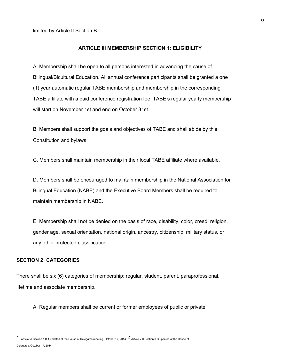limited by Article II Section B.

### **ARTICLE III MEMBERSHIP SECTION 1: ELIGIBILITY**

A. Membership shall be open to all persons interested in advancing the cause of Bilingual/Bicultural Education. All annual conference participants shall be granted a one (1) year automatic regular TABE membership and membership in the corresponding TABE affiliate with a paid conference registration fee. TABE's regular yearly membership will start on November 1st and end on October 31st.

B. Members shall support the goals and objectives of TABE and shall abide by this Constitution and bylaws.

C. Members shall maintain membership in their local TABE affiliate where available.

D. Members shall be encouraged to maintain membership in the National Association for Bilingual Education (NABE) and the Executive Board Members shall be required to maintain membership in NABE.

E. Membership shall not be denied on the basis of race, disability, color, creed, religion, gender age, sexual orientation, national origin, ancestry, citizenship, military status, or any other protected classification.

### **SECTION 2: CATEGORIES**

There shall be six (6) categories of membership: regular, student, parent, paraprofessional, lifetime and associate membership.

A. Regular members shall be current or former employees of public or private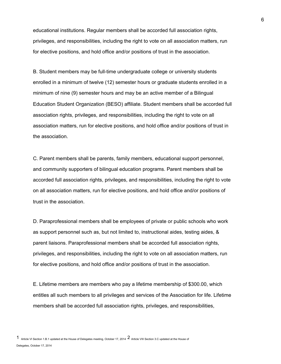educational institutions. Regular members shall be accorded full association rights, privileges, and responsibilities, including the right to vote on all association matters, run for elective positions, and hold office and/or positions of trust in the association.

B. Student members may be full-time undergraduate college or university students enrolled in a minimum of twelve (12) semester hours or graduate students enrolled in a minimum of nine (9) semester hours and may be an active member of a Bilingual Education Student Organization (BESO) affiliate. Student members shall be accorded full association rights, privileges, and responsibilities, including the right to vote on all association matters, run for elective positions, and hold office and/or positions of trust in the association.

C. Parent members shall be parents, family members, educational support personnel, and community supporters of bilingual education programs. Parent members shall be accorded full association rights, privileges, and responsibilities, including the right to vote on all association matters, run for elective positions, and hold office and/or positions of trust in the association.

D. Paraprofessional members shall be employees of private or public schools who work as support personnel such as, but not limited to, instructional aides, testing aides, & parent liaisons. Paraprofessional members shall be accorded full association rights, privileges, and responsibilities, including the right to vote on all association matters, run for elective positions, and hold office and/or positions of trust in the association.

E. Lifetime members are members who pay a lifetime membership of \$300.00, which entitles all such members to all privileges and services of the Association for life. Lifetime members shall be accorded full association rights, privileges, and responsibilities,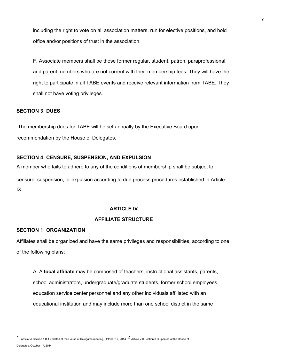including the right to vote on all association matters, run for elective positions, and hold office and/or positions of trust in the association.

F. Associate members shall be those former regular, student, patron, paraprofessional, and parent members who are not current with their membership fees. They will have the right to participate in all TABE events and receive relevant information from TABE. They shall not have voting privileges.

### **SECTION 3: DUES**

The membership dues for TABE will be set annually by the Executive Board upon recommendation by the House of Delegates.

# **SECTION 4: CENSURE, SUSPENSION, AND EXPULSION**

A member who fails to adhere to any of the conditions of membership shall be subject to censure, suspension, or expulsion according to due process procedures established in Article IX.

#### **ARTICLE IV**

### **AFFILIATE STRUCTURE**

### **SECTION 1: ORGANIZATION**

Affiliates shall be organized and have the same privileges and responsibilities, according to one of the following plans:

A. A **local affiliate** may be composed of teachers, instructional assistants, parents, school administrators, undergraduate/graduate students, former school employees, education service center personnel and any other individuals affiliated with an educational institution and may include more than one school district in the same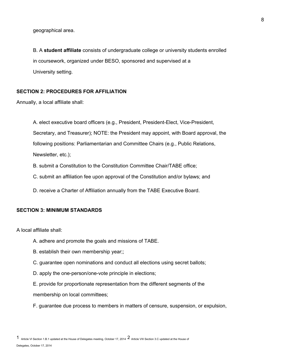geographical area.

B. A **student affiliate** consists of undergraduate college or university students enrolled in coursework, organized under BESO, sponsored and supervised at a University setting.

# **SECTION 2: PROCEDURES FOR AFFILIATION**

Annually, a local affiliate shall:

A. elect executive board officers (e.g., President, President-Elect, Vice-President, Secretary, and Treasurer); NOTE: the President may appoint, with Board approval, the following positions: Parliamentarian and Committee Chairs (e.g., Public Relations, Newsletter, etc.);

B. submit a Constitution to the Constitution Committee Chair/TABE office;

- C. submit an affiliation fee upon approval of the Constitution and/or bylaws; and
- D. receive a Charter of Affiliation annually from the TABE Executive Board.

## **SECTION 3: MINIMUM STANDARDS**

A local affiliate shall:

- A. adhere and promote the goals and missions of TABE.
- B. establish their own membership year;;
- C. guarantee open nominations and conduct all elections using secret ballots;
- D. apply the one-person/one-vote principle in elections;

E. provide for proportionate representation from the different segments of the membership on local committees;

F. guarantee due process to members in matters of censure, suspension, or expulsion,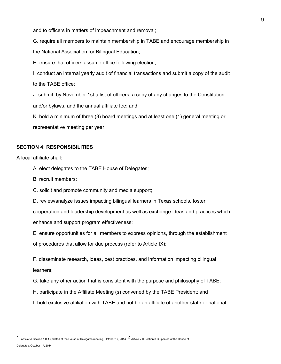and to officers in matters of impeachment and removal;

G. require all members to maintain membership in TABE and encourage membership in the National Association for Bilingual Education;

H. ensure that officers assume office following election;

I. conduct an internal yearly audit of financial transactions and submit a copy of the audit to the TABE office;

J. submit, by November 1st a list of officers, a copy of any changes to the Constitution and/or bylaws, and the annual affiliate fee; and

K. hold a minimum of three (3) board meetings and at least one (1) general meeting or representative meeting per year.

### **SECTION 4: RESPONSIBILITIES**

A local affiliate shall:

A. elect delegates to the TABE House of Delegates;

B. recruit members;

C. solicit and promote community and media support;

D. review/analyze issues impacting bilingual learners in Texas schools, foster cooperation and leadership development as well as exchange ideas and practices which enhance and support program effectiveness;

E. ensure opportunities for all members to express opinions, through the establishment of procedures that allow for due process (refer to Article IX);

F. disseminate research, ideas, best practices, and information impacting bilingual learners;

G. take any other action that is consistent with the purpose and philosophy of TABE;

H. participate in the Affiliate Meeting (s) convened by the TABE President; and

I. hold exclusive affiliation with TABE and not be an affiliate of another state or national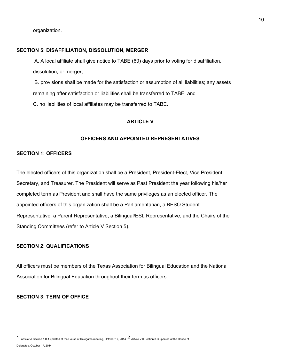organization.

#### **SECTION 5: DISAFFILIATION, DISSOLUTION, MERGER**

A. A local affiliate shall give notice to TABE (60) days prior to voting for disaffiliation, dissolution, or merger;

B. provisions shall be made for the satisfaction or assumption of all liabilities; any assets remaining after satisfaction or liabilities shall be transferred to TABE; and

C. no liabilities of local affiliates may be transferred to TABE.

# **ARTICLE V**

### **OFFICERS AND APPOINTED REPRESENTATIVES**

### **SECTION 1: OFFICERS**

The elected officers of this organization shall be a President, President-Elect, Vice President, Secretary, and Treasurer. The President will serve as Past President the year following his/her completed term as President and shall have the same privileges as an elected officer. The appointed officers of this organization shall be a Parliamentarian, a BESO Student Representative, a Parent Representative, a Bilingual/ESL Representative, and the Chairs of the Standing Committees (refer to Article V Section 5).

# **SECTION 2: QUALIFICATIONS**

All officers must be members of the Texas Association for Bilingual Education and the National Association for Bilingual Education throughout their term as officers.

### **SECTION 3: TERM OF OFFICE**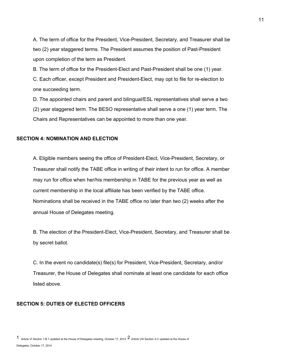A. The term of office for the President, Vice-President, Secretary, and Treasurer shall be two (2) year staggered terms. The President assumes the position of Past-President upon completion of the term as President.

B. The term of office for the President-Elect and Past-President shall be one (1) year.

C. Each officer, except President and President-Elect, may opt to file for re-election to one succeeding term.

D. The appointed chairs and parent and bilingual/ESL representatives shall serve a two (2) year staggered term. The BESO representative shall serve a one (1) year term. The Chairs and Representatives can be appointed to more than one year.

### **SECTION 4: NOMINATION AND ELECTION**

A. Eligible members seeing the office of President-Elect, Vice-President, Secretary, or Treasurer shall notify the TABE office in writing of their intent to run for office. A member may run for office when her/his membership in TABE for the previous year as well as current membership in the local affiliate has been verified by the TABE office. Nominations shall be received in the TABE office no later than two (2) weeks after the annual House of Delegates meeting.

B. The election of the President-Elect, Vice-President, Secretary, and Treasurer shall be by secret ballot.

C. In the event no candidate(s) file(s) for President, Vice-President, Secretary, and/or Treasurer, the House of Delegates shall nominate at least one candidate for each office listed above.

# **SECTION 5: DUTIES OF ELECTED OFFICERS**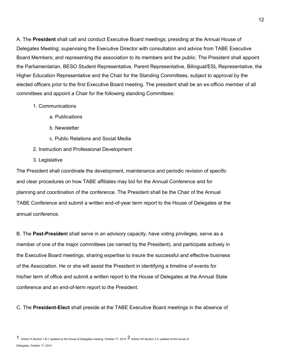A. The **President** shall call and conduct Executive Board meetings; presiding at the Annual House of Delegates Meeting; supervising the Executive Director with consultation and advice from TABE Executive Board Members; and representing the association to its members and the public. The President shall appoint the Parliamentarian, BESO Student Representative, Parent Representative, Bilingual/ESL Representative, the Higher Education Representative and the Chair for the Standing Committees, subject to approval by the elected officers prior to the first Executive Board meeting. The president shall be an ex-officio member of all committees and appoint a Chair for the following standing Committees:

- 1. Communications
	- a. Publications
	- b. Newsletter
	- c. Public Relations and Social Media
- 2. Instruction and Professional Development
- 3. Legislative

The President shall coordinate the development, maintenance and periodic revision of specific and clear procedures on how TABE affiliates may bid for the Annual Conference and for planning and coordination of the conference. The President shall be the Chair of the Annual TABE Conference and submit a written end-of-year term report to the House of Delegates at the annual conference.

B. The **Past-Presiden**t shall serve in an advisory capacity, have voting privileges, serve as a member of one of the major committees (as named by the President), and participate actively in the Executive Board meetings, sharing expertise to insure the successful and effective business of the Association. He or she will assist the President in identifying a timeline of events for his/her term of office and submit a written report to the House of Delegates at the Annual State conference and an end-of-term report to the President.

C. The **President-Elect** shall preside at the TABE Executive Board meetings in the absence of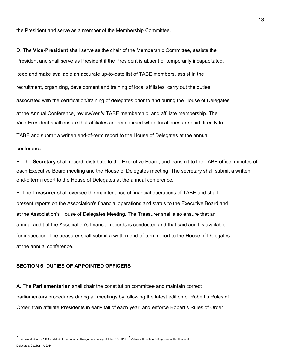the President and serve as a member of the Membership Committee.

D. The **Vice-President** shall serve as the chair of the Membership Committee, assists the President and shall serve as President if the President is absent or temporarily incapacitated, keep and make available an accurate up-to-date list of TABE members, assist in the recruitment, organizing, development and training of local affiliates, carry out the duties associated with the certification/training of delegates prior to and during the House of Delegates at the Annual Conference, review/verify TABE membership, and affiliate membership. The Vice-President shall ensure that affiliates are reimbursed when local dues are paid directly to TABE and submit a written end-of-term report to the House of Delegates at the annual conference.

E. The **Secretary** shall record, distribute to the Executive Board, and transmit to the TABE office, minutes of each Executive Board meeting and the House of Delegates meeting. The secretary shall submit a written end-ofterm report to the House of Delegates at the annual conference.

F. The **Treasurer** shall oversee the maintenance of financial operations of TABE and shall present reports on the Association's financial operations and status to the Executive Board and at the Association's House of Delegates Meeting. The Treasurer shall also ensure that an annual audit of the Association's financial records is conducted and that said audit is available for inspection. The treasurer shall submit a written end-of-term report to the House of Delegates at the annual conference.

### **SECTION 6: DUTIES OF APPOINTED OFFICERS**

A. The **Parliamentarian** shall chair the constitution committee and maintain correct parliamentary procedures during all meetings by following the latest edition of Robert's Rules of Order, train affiliate Presidents in early fall of each year, and enforce Robert's Rules of Order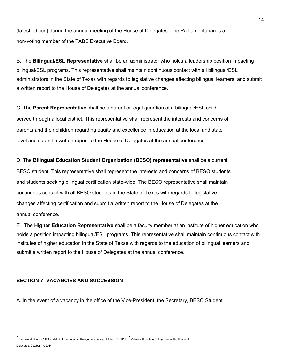(latest edition) during the annual meeting of the House of Delegates. The Parliamentarian is a non-voting member of the TABE Executive Board.

B. The **Bilingual/ESL Representative** shall be an administrator who holds a leadership position impacting bilingual/ESL programs. This representative shall maintain continuous contact with all bilingual/ESL administrators in the State of Texas with regards to legislative changes affecting bilingual learners, and submit a written report to the House of Delegates at the annual conference.

C. The **Parent Representative** shall be a parent or legal guardian of a bilingual/ESL child served through a local district. This representative shall represent the interests and concerns of parents and their children regarding equity and excellence in education at the local and state level and submit a written report to the House of Delegates at the annual conference.

# D. The **Bilingual Education Student Organization (BESO) representative** shall be a current

BESO student. This representative shall represent the interests and concerns of BESO students and students seeking bilingual certification state-wide. The BESO representative shall maintain continuous contact with all BESO students in the State of Texas with regards to legislative changes affecting certification and submit a written report to the House of Delegates at the annual conference.

E. The **Higher Education Representative** shall be a faculty member at an institute of higher education who holds a position impacting bilingual/ESL programs. This representative shall maintain continuous contact with institutes of higher education in the State of Texas with regards to the education of bilingual learners and submit a written report to the House of Delegates at the annual conference.

### **SECTION 7: VACANCIES AND SUCCESSION**

A. In the event of a vacancy in the office of the Vice-President, the Secretary, BESO Student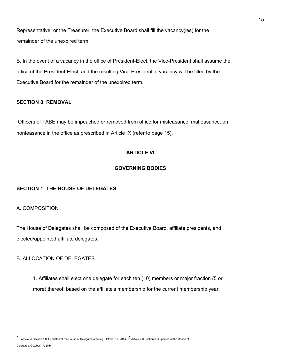Representative, or the Treasurer, the Executive Board shall fill the vacancy(ies) for the remainder of the unexpired term.

B. In the event of a vacancy in the office of President-Elect, the Vice-President shall assume the office of the President-Elect, and the resulting Vice-Presidential vacancy will be filled by the Executive Board for the remainder of the unexpired term.

# **SECTION 8: REMOVAL**

Officers of TABE may be impeached or removed from office for misfeasance, malfeasance, on nonfeasance in the office as prescribed in Article IX (refer to page 15).

# **ARTICLE VI**

# **GOVERNING BODIES**

### **SECTION 1: THE HOUSE OF DELEGATES**

# A. COMPOSITION

The House of Delegates shall be composed of the Executive Board, affiliate presidents, and elected/appointed affiliate delegates.

# B. ALLOCATION OF DELEGATES

1. Affiliates shall elect one delegate for each ten (10) members or major fraction (5 or more) thereof, based on the affiliate's membership for the current membership year.  $^1$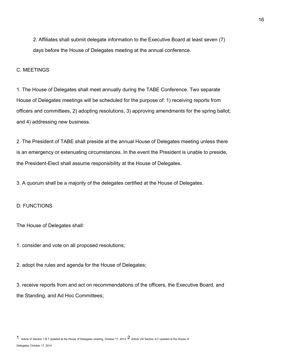2. Affiliates shall submit delegate information to the Executive Board at least seven (7) days before the House of Delegates meeting at the annual conference.

### C. MEETINGS

1. The House of Delegates shall meet annually during the TABE Conference. Two separate House of Delegates meetings will be scheduled for the purpose of: 1) receiving reports from officers and committees, 2) adopting resolutions, 3) approving amendments for the spring ballot; and 4) addressing new business.

2. The President of TABE shall preside at the annual House of Delegates meeting unless there is an emergency or extenuating circumstances. In the event the President is unable to preside, the President-Elect shall assume responsibility at the House of Delegates.

3. A quorum shall be a majority of the delegates certified at the House of Delegates.

# D. FUNCTIONS

The House of Delegates shall:

1. consider and vote on all proposed resolutions;

2. adopt the rules and agenda for the House of Delegates;

3. receive reports from and act on recommendations of the officers, the Executive Board, and the Standing, and Ad Hoc Committees;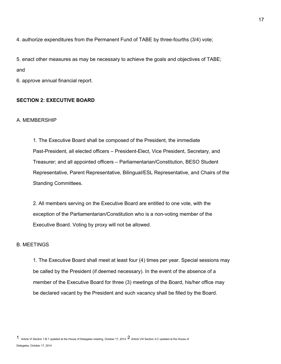4. authorize expenditures from the Permanent Fund of TABE by three-fourths (3/4) vote;

5. enact other measures as may be necessary to achieve the goals and objectives of TABE; and

6. approve annual financial report.

### **SECTION 2: EXECUTIVE BOARD**

#### A. MEMBERSHIP

1. The Executive Board shall be composed of the President, the immediate Past-President, all elected officers – President-Elect, Vice President, Secretary, and Treasurer; and all appointed officers – Parliamentarian/Constitution, BESO Student Representative, Parent Representative, Bilingual/ESL Representative, and Chairs of the Standing Committees.

2. All members serving on the Executive Board are entitled to one vote, with the exception of the Parliamentarian/Constitution who is a non-voting member of the Executive Board. Voting by proxy will not be allowed.

### B. MEETINGS

1. The Executive Board shall meet at least four (4) times per year. Special sessions may be called by the President (if deemed necessary). In the event of the absence of a member of the Executive Board for three (3) meetings of the Board, his/her office may be declared vacant by the President and such vacancy shall be filled by the Board.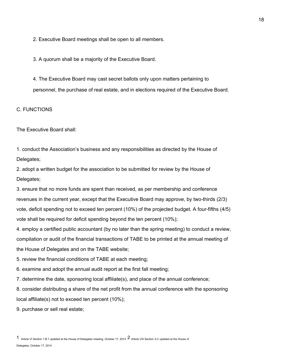2. Executive Board meetings shall be open to all members.

3. A quorum shall be a majority of the Executive Board.

4. The Executive Board may cast secret ballots only upon matters pertaining to personnel, the purchase of real estate, and in elections required of the Executive Board.

### C. FUNCTIONS

The Executive Board shall:

1. conduct the Association's business and any responsibilities as directed by the House of Delegates;

2. adopt a written budget for the association to be submitted for review by the House of Delegates;

3. ensure that no more funds are spent than received, as per membership and conference revenues in the current year, except that the Executive Board may approve, by two-thirds (2/3) vote, deficit spending not to exceed ten percent (10%) of the projected budget. A four-fifths (4/5) vote shall be required for deficit spending beyond the ten percent (10%);

4. employ a certified public accountant (by no later than the spring meeting) to conduct a review, compilation or audit of the financial transactions of TABE to be printed at the annual meeting of the House of Delegates and on the TABE website;

5. review the financial conditions of TABE at each meeting;

6. examine and adopt the annual audit report at the first fall meeting;

7. determine the date, sponsoring local affiliate(s), and place of the annual conference;

8. consider distributing a share of the net profit from the annual conference with the sponsoring local affiliate(s) not to exceed ten percent (10%);

9. purchase or sell real estate;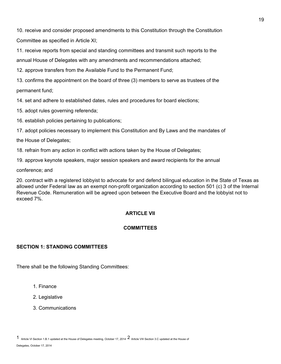10. receive and consider proposed amendments to this Constitution through the Constitution

Committee as specified in Article XI;

11. receive reports from special and standing committees and transmit such reports to the

annual House of Delegates with any amendments and recommendations attached;

12. approve transfers from the Available Fund to the Permanent Fund;

13. confirms the appointment on the board of three (3) members to serve as trustees of the permanent fund;

14. set and adhere to established dates, rules and procedures for board elections;

15. adopt rules governing referenda;

16. establish policies pertaining to publications;

17. adopt policies necessary to implement this Constitution and By Laws and the mandates of

the House of Delegates;

18. refrain from any action in conflict with actions taken by the House of Delegates;

19. approve keynote speakers, major session speakers and award recipients for the annual

conference; and

20. contract with a registered lobbyist to advocate for and defend bilingual education in the State of Texas as allowed under Federal law as an exempt non-profit organization according to section 501 (c) 3 of the Internal Revenue Code. Remuneration will be agreed upon between the Executive Board and the lobbyist not to exceed 7%.

# **ARTICLE VII**

# **COMMITTEES**

# **SECTION 1: STANDING COMMITTEES**

There shall be the following Standing Committees:

- 1. Finance
- 2. Legislative
- 3. Communications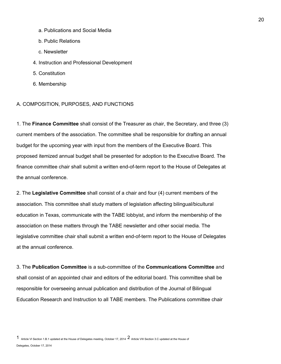- a. Publications and Social Media
- b. Public Relations
- c. Newsletter
- 4. Instruction and Professional Development
- 5. Constitution
- 6. Membership

### A. COMPOSITION, PURPOSES, AND FUNCTIONS

1. The **Finance Committee** shall consist of the Treasurer as chair, the Secretary, and three (3) current members of the association. The committee shall be responsible for drafting an annual budget for the upcoming year with input from the members of the Executive Board. This proposed itemized annual budget shall be presented for adoption to the Executive Board. The finance committee chair shall submit a written end-of-term report to the House of Delegates at the annual conference.

2. The **Legislative Committee** shall consist of a chair and four (4) current members of the association. This committee shall study matters of legislation affecting bilingual/bicultural education in Texas, communicate with the TABE lobbyist, and inform the membership of the association on these matters through the TABE newsletter and other social media. The legislative committee chair shall submit a written end-of-term report to the House of Delegates at the annual conference.

3. The **Publication Committee** is a sub-committee of the **Communications Committee** and shall consist of an appointed chair and editors of the editorial board. This committee shall be responsible for overseeing annual publication and distribution of the Journal of Bilingual Education Research and Instruction to all TABE members. The Publications committee chair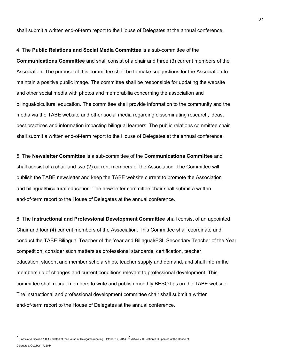shall submit a written end-of-term report to the House of Delegates at the annual conference.

4. The **Public Relations and Social Media Committee** is a sub-committee of the **Communications Committee** and shall consist of a chair and three (3) current members of the Association. The purpose of this committee shall be to make suggestions for the Association to maintain a positive public image. The committee shall be responsible for updating the website and other social media with photos and memorabilia concerning the association and bilingual/bicultural education. The committee shall provide information to the community and the media via the TABE website and other social media regarding disseminating research, ideas, best practices and information impacting bilingual learners. The public relations committee chair shall submit a written end-of-term report to the House of Delegates at the annual conference.

5. The **Newsletter Committee** is a sub-committee of the **Communications Committee** and shall consist of a chair and two (2) current members of the Association. The Committee will publish the TABE newsletter and keep the TABE website current to promote the Association and bilingual/bicultural education. The newsletter committee chair shall submit a written end-of-term report to the House of Delegates at the annual conference.

6. The **Instructional and Professional Development Committee** shall consist of an appointed Chair and four (4) current members of the Association. This Committee shall coordinate and conduct the TABE Bilingual Teacher of the Year and Bilingual/ESL Secondary Teacher of the Year competition, consider such matters as professional standards, certification, teacher education, student and member scholarships, teacher supply and demand, and shall inform the membership of changes and current conditions relevant to professional development. This committee shall recruit members to write and publish monthly BESO tips on the TABE website. The instructional and professional development committee chair shall submit a written end-of-term report to the House of Delegates at the annual conference.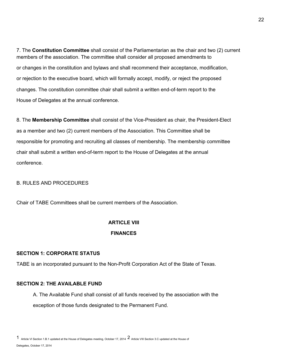7. The **Constitution Committee** shall consist of the Parliamentarian as the chair and two (2) current members of the association. The committee shall consider all proposed amendments to or changes in the constitution and bylaws and shall recommend their acceptance, modification, or rejection to the executive board, which will formally accept, modify, or reject the proposed changes. The constitution committee chair shall submit a written end-of-term report to the House of Delegates at the annual conference.

8. The **Membership Committee** shall consist of the Vice-President as chair, the President-Elect as a member and two (2) current members of the Association. This Committee shall be responsible for promoting and recruiting all classes of membership. The membership committee chair shall submit a written end-of-term report to the House of Delegates at the annual conference.

# B. RULES AND PROCEDURES

Chair of TABE Committees shall be current members of the Association.

### **ARTICLE VIII**

### **FINANCES**

# **SECTION 1: CORPORATE STATUS**

TABE is an incorporated pursuant to the Non-Profit Corporation Act of the State of Texas.

### **SECTION 2: THE AVAILABLE FUND**

A. The Available Fund shall consist of all funds received by the association with the exception of those funds designated to the Permanent Fund.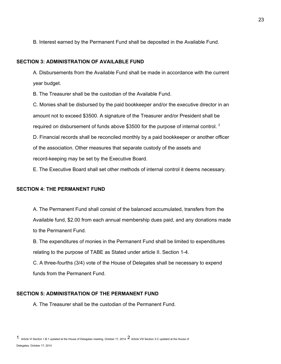B. Interest earned by the Permanent Fund shall be deposited in the Available Fund.

# **SECTION 3: ADMINISTRATION OF AVAILABLE FUND**

A. Disbursements from the Available Fund shall be made in accordance with the current year budget.

B. The Treasurer shall be the custodian of the Available Fund.

C. Monies shall be disbursed by the paid bookkeeper and/or the executive director in an amount not to exceed \$3500. A signature of the Treasurer and/or President shall be required on disbursement of funds above \$3500 for the purpose of internal control.<sup>2</sup> D. Financial records shall be reconciled monthly by a paid bookkeeper or another officer of the association. Other measures that separate custody of the assets and record-keeping may be set by the Executive Board.

E. The Executive Board shall set other methods of internal control it deems necessary.

# **SECTION 4: THE PERMANENT FUND**

A. The Permanent Fund shall consist of the balanced accumulated, transfers from the Available fund, \$2.00 from each annual membership dues paid, and any donations made to the Permanent Fund.

B. The expenditures of monies in the Permanent Fund shall be limited to expenditures relating to the purpose of TABE as Stated under article II. Section 1-4.

C. A three-fourths (3/4) vote of the House of Delegates shall be necessary to expend funds from the Permanent Fund.

# **SECTION 5: ADMINISTRATION OF THE PERMANENT FUND**

A. The Treasurer shall be the custodian of the Permanent Fund.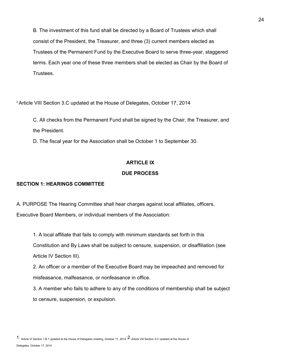B. The investment of this fund shall be directed by a Board of Trustees which shall consist of the President, the Treasurer, and three (3) current members elected as Trustees of the Permanent Fund by the Executive Board to serve three-year, staggered terms. Each year one of these three members shall be elected as Chair by the Board of Trustees.

<sup>2</sup>Article VIII Section 3.C updated at the House of Delegates, October 17, 2014

C. All checks from the Permanent Fund shall be signed by the Chair, the Treasurer, and the President.

D. The fiscal year for the Association shall be October 1 to September 30.

# **ARTICLE IX**

#### **DUE PROCESS**

### **SECTION 1: HEARINGS COMMITTEE**

A. PURPOSE The Hearing Committee shall hear charges against local affiliates, officers, Executive Board Members, or individual members of the Association:

1. A local affiliate that fails to comply with minimum standards set forth in this Constitution and By Laws shall be subject to censure, suspension, or disaffiliation (see Article IV Section III).

2. An officer or a member of the Executive Board may be impeached and removed for misfeasance, malfeasance, or nonfeasance in office.

3. A member who fails to adhere to any of the conditions of membership shall be subject to censure, suspension, or expulsion.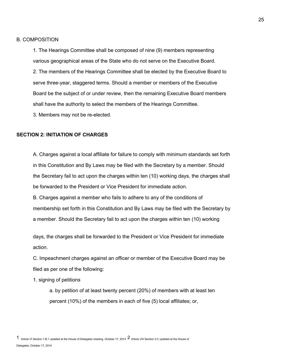#### B. COMPOSITION

1. The Hearings Committee shall be composed of nine (9) members representing various geographical areas of the State who do not serve on the Executive Board. 2. The members of the Hearings Committee shall be elected by the Executive Board to serve three-year, staggered terms. Should a member or members of the Executive Board be the subject of or under review, then the remaining Executive Board members shall have the authority to select the members of the Hearings Committee.

3. Members may not be re-elected.

# **SECTION 2: INITIATION OF CHARGES**

A. Charges against a local affiliate for failure to comply with minimum standards set forth in this Constitution and By Laws may be filed with the Secretary by a member. Should the Secretary fail to act upon the charges within ten (10) working days, the charges shall be forwarded to the President or Vice President for immediate action.

B. Charges against a member who fails to adhere to any of the conditions of membership set forth in this Constitution and By Laws may be filed with the Secretary by a member. Should the Secretary fail to act upon the charges within ten (10) working

days, the charges shall be forwarded to the President or Vice President for immediate action.

C. Impeachment charges against an officer or member of the Executive Board may be filed as per one of the following:

1. signing of petitions

a. by petition of at least twenty percent (20%) of members with at least ten percent (10%) of the members in each of five (5) local affiliates; or,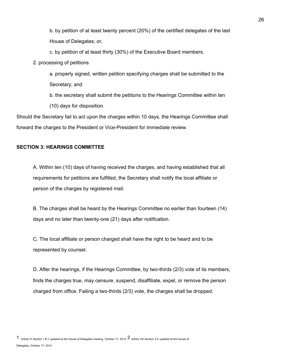b. by petition of at least twenty percent (20%) of the certified delegates of the last House of Delegates; or,

c. by petition of at least thirty (30%) of the Executive Board members.

2. processing of petitions

a. properly signed, written petition specifying charges shall be submitted to the Secretary; and

b. the secretary shall submit the petitions to the Hearings Committee within ten (10) days for disposition.

Should the Secretary fail to act upon the charges within 10 days, the Hearings Committee shall forward the charges to the President or Vice-President for immediate review.

### **SECTION 3: HEARINGS COMMITTEE**

A. Within ten (10) days of having received the charges, and having established that all requirements for petitions are fulfilled, the Secretary shall notify the local affiliate or person of the charges by registered mail.

B. The charges shall be heard by the Hearings Committee no earlier than fourteen (14) days and no later than twenty-one (21) days after notification.

C. The local affiliate or person charged shall have the right to be heard and to be represented by counsel.

D. After the hearings, if the Hearings Committee, by two-thirds (2/3) vote of its members, finds the charges true, may censure, suspend, disaffiliate, expel, or remove the person charged from office. Failing a two-thirds (2/3) vote, the charges shall be dropped.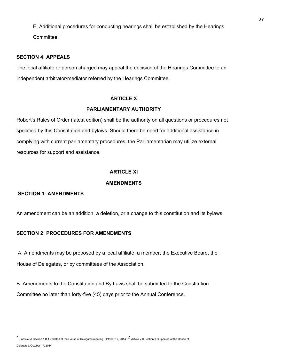E. Additional procedures for conducting hearings shall be established by the Hearings Committee.

### **SECTION 4: APPEALS**

The local affiliate or person charged may appeal the decision of the Hearings Committee to an independent arbitrator/mediator referred by the Hearings Committee.

# **ARTICLE X**

# **PARLIAMENTARY AUTHORITY**

Robert's Rules of Order (latest edition) shall be the authority on all questions or procedures not specified by this Constitution and bylaws. Should there be need for additional assistance in complying with current parliamentary procedures; the Parliamentarian may utilize external resources for support and assistance.

### **ARTICLE XI**

### **AMENDMENTS**

#### **SECTION 1: AMENDMENTS**

An amendment can be an addition, a deletion, or a change to this constitution and its bylaws.

# **SECTION 2: PROCEDURES FOR AMENDMENTS**

A. Amendments may be proposed by a local affiliate, a member, the Executive Board, the House of Delegates, or by committees of the Association.

B. Amendments to the Constitution and By Laws shall be submitted to the Constitution Committee no later than forty-five (45) days prior to the Annual Conference.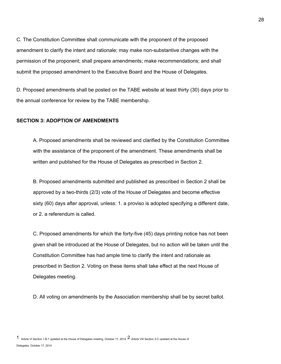C. The Constitution Committee shall communicate with the proponent of the proposed amendment to clarify the intent and rationale; may make non-substantive changes with the permission of the proponent; shall prepare amendments; make recommendations; and shall submit the proposed amendment to the Executive Board and the House of Delegates.

D. Proposed amendments shall be posted on the TABE website at least thirty (30) days prior to the annual conference for review by the TABE membership.

### **SECTION 3: ADOPTION OF AMENDMENTS**

A. Proposed amendments shall be reviewed and clarified by the Constitution Committee with the assistance of the proponent of the amendment. These amendments shall be written and published for the House of Delegates as prescribed in Section 2.

B. Proposed amendments submitted and published as prescribed in Section 2 shall be approved by a two-thirds (2/3) vote of the House of Delegates and become effective sixty (60) days after approval, unless: 1. a proviso is adopted specifying a different date, or 2. a referendum is called.

C. Proposed amendments for which the forty-five (45) days printing notice has not been given shall be introduced at the House of Delegates, but no action will be taken until the Constitution Committee has had ample time to clarify the intent and rationale as prescribed in Section 2. Voting on these items shall take effect at the next House of Delegates meeting.

D. All voting on amendments by the Association membership shall be by secret ballot.